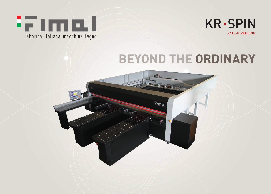



# **BEYOND THE ORDINARY**